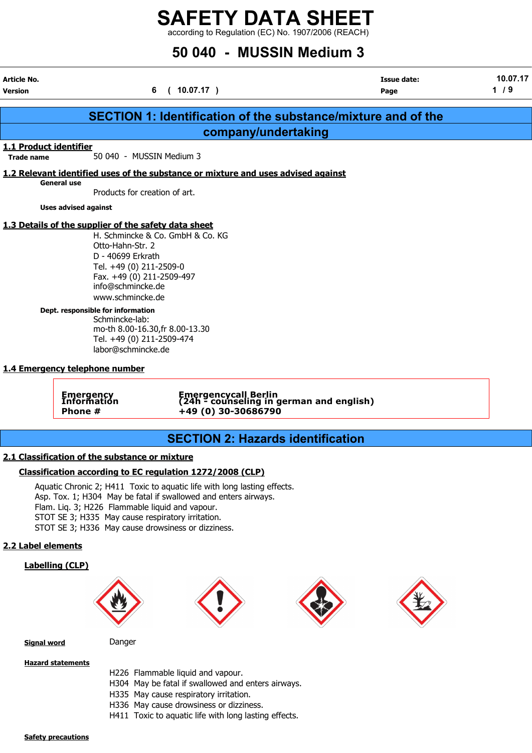### SAFETY DATA SHEET  $\frac{2}{1}$  according to Regulation (EC) No. 1907/2006 (REACH)

## 50 040 - MUSSIN Medium 3

| Article No.<br>Version |                                                                                                                                                                                                                                                                                                                                                                                   | (10.07.17)<br>6                                                                                                                                                                                          | <b>Issue date:</b><br>Page                                           | 10.07.17<br>1/9 |
|------------------------|-----------------------------------------------------------------------------------------------------------------------------------------------------------------------------------------------------------------------------------------------------------------------------------------------------------------------------------------------------------------------------------|----------------------------------------------------------------------------------------------------------------------------------------------------------------------------------------------------------|----------------------------------------------------------------------|-----------------|
|                        |                                                                                                                                                                                                                                                                                                                                                                                   |                                                                                                                                                                                                          | <b>SECTION 1: Identification of the substance/mixture and of the</b> |                 |
|                        |                                                                                                                                                                                                                                                                                                                                                                                   | company/undertaking                                                                                                                                                                                      |                                                                      |                 |
| 1.1 Product identifier |                                                                                                                                                                                                                                                                                                                                                                                   |                                                                                                                                                                                                          |                                                                      |                 |
| <b>Trade name</b>      | 50 040 - MUSSIN Medium 3                                                                                                                                                                                                                                                                                                                                                          |                                                                                                                                                                                                          |                                                                      |                 |
|                        |                                                                                                                                                                                                                                                                                                                                                                                   | 1.2 Relevant identified uses of the substance or mixture and uses advised against                                                                                                                        |                                                                      |                 |
| General use            | Products for creation of art.                                                                                                                                                                                                                                                                                                                                                     |                                                                                                                                                                                                          |                                                                      |                 |
|                        | <b>Uses advised against</b>                                                                                                                                                                                                                                                                                                                                                       |                                                                                                                                                                                                          |                                                                      |                 |
|                        | 1.3 Details of the supplier of the safety data sheet<br>Otto-Hahn-Str. 2<br>D - 40699 Erkrath<br>Tel. +49 (0) 211-2509-0<br>Fax. +49 (0) 211-2509-497<br>info@schmincke.de<br>www.schmincke.de<br>Dept. responsible for information<br>Schmincke-lab:<br>Tel. +49 (0) 211-2509-474<br>labor@schmincke.de<br>1.4 Emergency telephone number<br>Emergency<br>Information<br>Phone # | H. Schmincke & Co. GmbH & Co. KG<br>mo-th 8.00-16.30, fr 8.00-13.30<br>Emergencycall Berlin<br>(24h - counseling in german and english)<br>+49 (0) 30-30686790                                           |                                                                      |                 |
|                        |                                                                                                                                                                                                                                                                                                                                                                                   |                                                                                                                                                                                                          |                                                                      |                 |
|                        |                                                                                                                                                                                                                                                                                                                                                                                   | <b>SECTION 2: Hazards identification</b>                                                                                                                                                                 |                                                                      |                 |
|                        | 2.1 Classification of the substance or mixture<br>Flam. Liq. 3; H226 Flammable liquid and vapour.<br>STOT SE 3; H335 May cause respiratory irritation.<br>STOT SE 3; H336 May cause drowsiness or dizziness.                                                                                                                                                                      | Classification according to EC regulation 1272/2008 (CLP)<br>Aquatic Chronic 2; H411 Toxic to aquatic life with long lasting effects.<br>Asp. Tox. 1; H304 May be fatal if swallowed and enters airways. |                                                                      |                 |
| 2.2 Label elements     |                                                                                                                                                                                                                                                                                                                                                                                   |                                                                                                                                                                                                          |                                                                      |                 |
| <b>Labelling (CLP)</b> |                                                                                                                                                                                                                                                                                                                                                                                   |                                                                                                                                                                                                          |                                                                      |                 |

Signal word Danger

#### Hazard statements

H226 Flammable liquid and vapour.

- H304 May be fatal if swallowed and enters airways.
- H335 May cause respiratory irritation.
- H336 May cause drowsiness or dizziness.
- H411 Toxic to aquatic life with long lasting effects.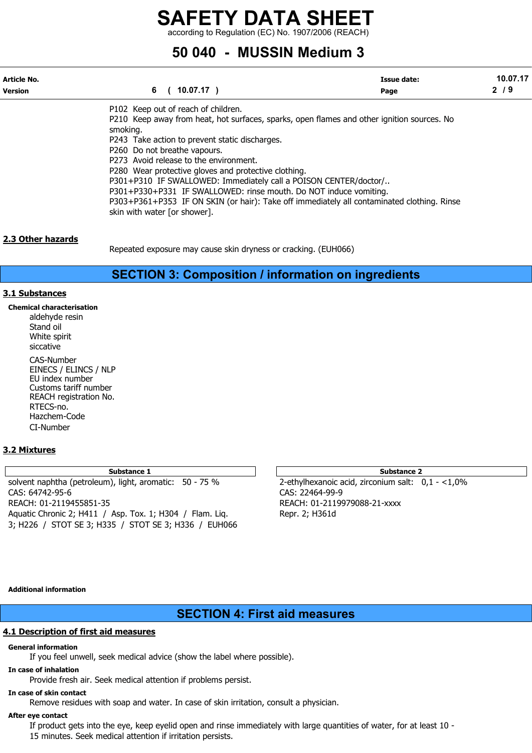according to Regulation (EC) No. 1907/2006 (REACH)

### 50 040 - MUSSIN Medium 3

| Article No.    |                                                                                            | <b>Issue date:</b> | 10.07.17 |
|----------------|--------------------------------------------------------------------------------------------|--------------------|----------|
| <b>Version</b> | 6<br>$10.07.17$ )                                                                          | Page               | 2/9      |
|                | P102 Keep out of reach of children.                                                        |                    |          |
|                | P210 Keep away from heat, hot surfaces, sparks, open flames and other ignition sources. No |                    |          |
|                | smoking.                                                                                   |                    |          |
|                | P243 Take action to prevent static discharges.                                             |                    |          |
|                | P260 Do not breathe vapours.                                                               |                    |          |
|                | P273 Avoid release to the environment.                                                     |                    |          |
|                | P280 Wear protective gloves and protective clothing.                                       |                    |          |
|                | P301+P310 IF SWALLOWED: Immediately call a POISON CENTER/doctor/                           |                    |          |
|                | P301+P330+P331 IF SWALLOWED: rinse mouth. Do NOT induce vomiting.                          |                    |          |
|                | P303+P361+P353 IF ON SKIN (or hair): Take off immediately all contaminated clothing. Rinse |                    |          |
|                | skin with water [or shower].                                                               |                    |          |

#### 2.3 Other hazards

Repeated exposure may cause skin dryness or cracking. (EUH066)

#### SECTION 3: Composition / information on ingredients

#### 3.1 Substances

Chemical characterisation aldehyde resin Stand oil White spirit siccative CAS-Number EINECS / ELINCS / NLP EU index number Customs tariff number REACH registration No.

RTECS-no. Hazchem-Code CI-Number

#### 3.2 Mixtures

solvent naphtha (petroleum), light, aromatic: 50 - 75 % 2-ethylhexanoic acid, zirconium salt: 0,1 - <1,0% CAS: 64742-95-6 CAS: 22464-99-9 REACH: 01-2119455851-35 REACH: 01-2119979088-21-xxxx Aquatic Chronic 2; H411 / Asp. Tox. 1; H304 / Flam. Liq. Repr. 2; H361d 3; H226 / STOT SE 3; H335 / STOT SE 3; H336 / EUH066

Substance 1 and 2 Substance 2 and 3 Substance 2 and 3 Substance 2 and 3 Substance 2 and 3 Substance 2 and 3 Substance 2

Additional information

#### SECTION 4: First aid measures

#### 4.1 Description of first aid measures

#### General information

If you feel unwell, seek medical advice (show the label where possible).

#### In case of inhalation

Provide fresh air. Seek medical attention if problems persist.

#### In case of skin contact

Remove residues with soap and water. In case of skin irritation, consult a physician.

#### After eye contact

If product gets into the eye, keep eyelid open and rinse immediately with large quantities of water, for at least 10 - 15 minutes. Seek medical attention if irritation persists.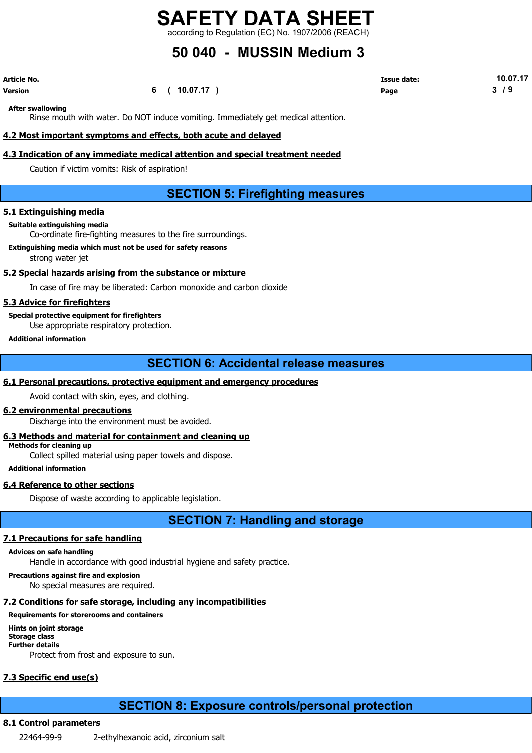according to Regulation (EC) No. 1907/2006 (REACH)

## 50 040 - MUSSIN Medium 3

| Article No. |              | <b>Issue date:</b> | 10.07.17 |
|-------------|--------------|--------------------|----------|
| Version     | 6 ( 10.07.17 | Page               | $3/9$    |

After swallowing

Rinse mouth with water. Do NOT induce vomiting. Immediately get medical attention.

#### 4.2 Most important symptoms and effects, both acute and delayed

#### 4.3 Indication of any immediate medical attention and special treatment needed

Caution if victim vomits: Risk of aspiration!

### SECTION 5: Firefighting measures

#### 5.1 Extinguishing media

#### Suitable extinguishing media

Co-ordinate fire-fighting measures to the fire surroundings.

Extinguishing media which must not be used for safety reasons

strong water jet

#### 5.2 Special hazards arising from the substance or mixture

In case of fire may be liberated: Carbon monoxide and carbon dioxide

#### 5.3 Advice for firefighters

Special protective equipment for firefighters

Use appropriate respiratory protection.

Additional information

#### SECTION 6: Accidental release measures

#### 6.1 Personal precautions, protective equipment and emergency procedures

Avoid contact with skin, eyes, and clothing.

#### 6.2 environmental precautions

Discharge into the environment must be avoided.

#### 6.3 Methods and material for containment and cleaning up

Methods for cleaning up

Collect spilled material using paper towels and dispose.

Additional information

#### 6.4 Reference to other sections

Dispose of waste according to applicable legislation.

SECTION 7: Handling and storage

#### 7.1 Precautions for safe handling

#### Advices on safe handling

Handle in accordance with good industrial hygiene and safety practice.

#### Precautions against fire and explosion

No special measures are required.

#### 7.2 Conditions for safe storage, including any incompatibilities

#### Requirements for storerooms and containers

Hints on joint storage Storage class Further details Protect from frost and exposure to sun.

#### 7.3 Specific end use(s)

#### SECTION 8: Exposure controls/personal protection

#### 8.1 Control parameters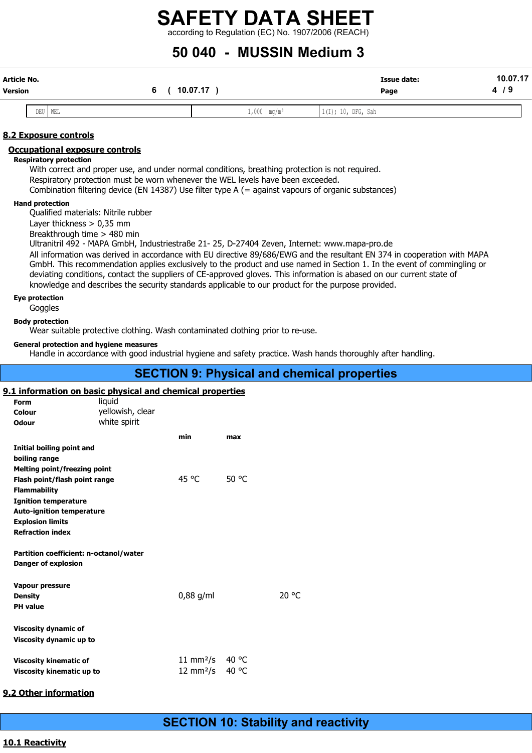### SAFETY DATA SHEET  $\frac{1}{2}$  according to Regulation (EC) No. 1907/2006 (REACH)

### 50 040 - MUSSIN Medium 3

| Article No.<br><b>Version</b>                          | 6<br>$\epsilon$                                                                                                                                                                                                                                                                                                                    | 10.07.17)             | <b>Issue date:</b><br>Page                                                                                                                                                                                                                                                                                                                                                   | 10.07.17<br>4/9 |
|--------------------------------------------------------|------------------------------------------------------------------------------------------------------------------------------------------------------------------------------------------------------------------------------------------------------------------------------------------------------------------------------------|-----------------------|------------------------------------------------------------------------------------------------------------------------------------------------------------------------------------------------------------------------------------------------------------------------------------------------------------------------------------------------------------------------------|-----------------|
| DEU                                                    | WEL                                                                                                                                                                                                                                                                                                                                | $1,000 \mid mg/m^{3}$ | 1(I); 10, DFG, Sah                                                                                                                                                                                                                                                                                                                                                           |                 |
|                                                        |                                                                                                                                                                                                                                                                                                                                    |                       |                                                                                                                                                                                                                                                                                                                                                                              |                 |
| 8.2 Exposure controls                                  |                                                                                                                                                                                                                                                                                                                                    |                       |                                                                                                                                                                                                                                                                                                                                                                              |                 |
| <b>Respiratory protection</b>                          | <b>Occupational exposure controls</b><br>With correct and proper use, and under normal conditions, breathing protection is not required.<br>Respiratory protection must be worn whenever the WEL levels have been exceeded.<br>Combination filtering device (EN 14387) Use filter type A (= against vapours of organic substances) |                       |                                                                                                                                                                                                                                                                                                                                                                              |                 |
| <b>Hand protection</b>                                 | Qualified materials: Nitrile rubber<br>Layer thickness $> 0.35$ mm<br>Breakthrough time > 480 min<br>Ultranitril 492 - MAPA GmbH, Industriestraße 21- 25, D-27404 Zeven, Internet: www.mapa-pro.de<br>knowledge and describes the security standards applicable to our product for the purpose provided.                           |                       | All information was derived in accordance with EU directive 89/686/EWG and the resultant EN 374 in cooperation with MAPA<br>GmbH. This recommendation applies exclusively to the product and use named in Section 1. In the event of commingling or<br>deviating conditions, contact the suppliers of CE-approved gloves. This information is abased on our current state of |                 |
| <b>Eye protection</b><br>Goggles                       |                                                                                                                                                                                                                                                                                                                                    |                       |                                                                                                                                                                                                                                                                                                                                                                              |                 |
| <b>Body protection</b>                                 | Wear suitable protective clothing. Wash contaminated clothing prior to re-use.                                                                                                                                                                                                                                                     |                       |                                                                                                                                                                                                                                                                                                                                                                              |                 |
|                                                        | <b>General protection and hygiene measures</b>                                                                                                                                                                                                                                                                                     |                       | Handle in accordance with good industrial hygiene and safety practice. Wash hands thoroughly after handling.                                                                                                                                                                                                                                                                 |                 |
|                                                        |                                                                                                                                                                                                                                                                                                                                    |                       | <b>SECTION 9: Physical and chemical properties</b>                                                                                                                                                                                                                                                                                                                           |                 |
| <b>Form</b><br>Colour<br><b>Odour</b>                  | 9.1 information on basic physical and chemical properties<br>liquid<br>yellowish, clear<br>white spirit                                                                                                                                                                                                                            |                       |                                                                                                                                                                                                                                                                                                                                                                              |                 |
|                                                        | min                                                                                                                                                                                                                                                                                                                                | max                   |                                                                                                                                                                                                                                                                                                                                                                              |                 |
| boiling range                                          | <b>Initial boiling point and</b>                                                                                                                                                                                                                                                                                                   |                       |                                                                                                                                                                                                                                                                                                                                                                              |                 |
| <b>Flammability</b>                                    | <b>Melting point/freezing point</b><br>Flash point/flash point range                                                                                                                                                                                                                                                               | 45 °C<br>50 °C        |                                                                                                                                                                                                                                                                                                                                                                              |                 |
| <b>Ignition temperature</b><br><b>Explosion limits</b> | <b>Auto-ignition temperature</b>                                                                                                                                                                                                                                                                                                   |                       |                                                                                                                                                                                                                                                                                                                                                                              |                 |
| <b>Refraction index</b>                                |                                                                                                                                                                                                                                                                                                                                    |                       |                                                                                                                                                                                                                                                                                                                                                                              |                 |
| <b>Danger of explosion</b>                             | Partition coefficient: n-octanol/water                                                                                                                                                                                                                                                                                             |                       |                                                                                                                                                                                                                                                                                                                                                                              |                 |
| Vapour pressure<br><b>Density</b>                      |                                                                                                                                                                                                                                                                                                                                    | $0,88$ g/ml           | 20 °C                                                                                                                                                                                                                                                                                                                                                                        |                 |
| <b>PH</b> value                                        |                                                                                                                                                                                                                                                                                                                                    |                       |                                                                                                                                                                                                                                                                                                                                                                              |                 |
| <b>Viscosity dynamic of</b>                            |                                                                                                                                                                                                                                                                                                                                    |                       |                                                                                                                                                                                                                                                                                                                                                                              |                 |

Viscosity kinematic of  $\frac{11 \text{ mm}^2}{\text{S}}$  40 °C<br>Viscosity kinematic up to  $\frac{12 \text{ mm}^2}{\text{S}}$  40 °C Viscosity kinematic up to

#### 9.2 Other information

Viscosity dynamic up to

#### 10.1 Reactivity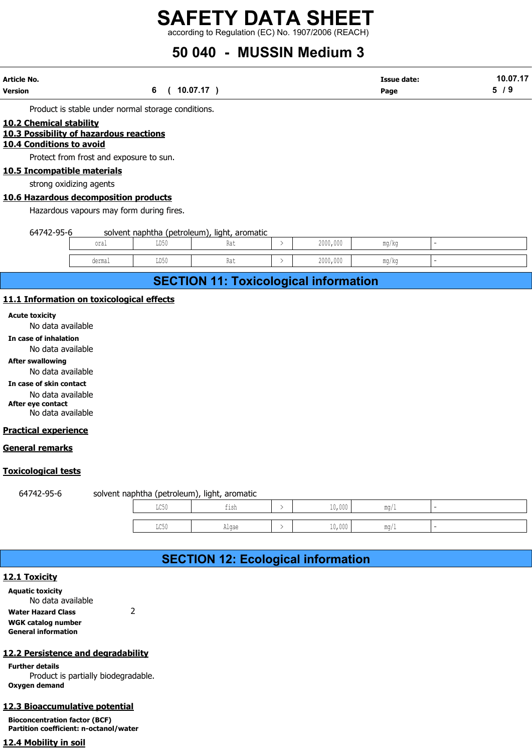according to Regulation (EC) No. 1907/2006 (REACH)

## 50 040 - MUSSIN Medium 3

| Article No.    |          | <b>Issue date:</b> | 10.07.17 |
|----------------|----------|--------------------|----------|
| <b>Version</b> | 10.07.17 | Page               | ാ        |

#### 10.2 Chemical stability

#### 10.3 Possibility of hazardous reactions

#### 10.4 Conditions to avoid

Protect from frost and exposure to sun.

#### 10.5 Incompatible materials

strong oxidizing agents

#### 10.6 Hazardous decomposition products

|                               |                                          |                                                    | according to Regulation (EC) No. 1907/2006 (REACH) |          |                            |                 |
|-------------------------------|------------------------------------------|----------------------------------------------------|----------------------------------------------------|----------|----------------------------|-----------------|
|                               |                                          |                                                    | 50 040 - MUSSIN Medium 3                           |          |                            |                 |
| ٧o.                           |                                          | 6                                                  | 10.07.17)                                          |          | <b>Issue date:</b><br>Page | 10.07.17<br>5/9 |
|                               |                                          | Product is stable under normal storage conditions. |                                                    |          |                            |                 |
| hemical stability             |                                          |                                                    |                                                    |          |                            |                 |
| <u>onditions to avoid</u>     | ossibility of hazardous reactions        |                                                    |                                                    |          |                            |                 |
|                               | Protect from frost and exposure to sun.  |                                                    |                                                    |          |                            |                 |
| ncompatible materials         |                                          |                                                    |                                                    |          |                            |                 |
| strong oxidizing agents       |                                          |                                                    |                                                    |          |                            |                 |
|                               | azardous decomposition products          |                                                    |                                                    |          |                            |                 |
|                               | Hazardous vapours may form during fires. |                                                    |                                                    |          |                            |                 |
| 64742-95-6                    |                                          |                                                    | solvent naphtha (petroleum), light, aromatic       |          |                            |                 |
|                               | oral                                     | LD50                                               | Rat                                                | 2000,000 | mg/kg                      |                 |
|                               | dermal                                   | LD50                                               | Rat                                                | 2000,000 | mg/kg                      |                 |
|                               |                                          |                                                    | <b>SECTION 11: Toxicological information</b>       |          |                            |                 |
|                               | nformation on toxicological effects      |                                                    |                                                    |          |                            |                 |
| toxicity<br>No data available |                                          |                                                    |                                                    |          |                            |                 |
| e of inhalation               |                                          |                                                    |                                                    |          |                            |                 |

### SECTION 11: Toxicological information

#### 11.1 Information on toxicological effects

Acute toxicity

No data available

In case of inhalation

No data available

#### After swallowing

No data available

In case of skin contact

No data available

After eye contact No data available

#### Practical experience

#### General remarks

#### Toxicological tests

64742-95-6 solvent naphtha (petroleum), light, aromatic

| cological effects  |                                           |               |          |                          |                          |  |
|--------------------|-------------------------------------------|---------------|----------|--------------------------|--------------------------|--|
|                    |                                           |               |          |                          |                          |  |
|                    |                                           |               |          |                          |                          |  |
|                    |                                           |               |          |                          |                          |  |
|                    |                                           |               |          |                          |                          |  |
|                    |                                           |               |          |                          |                          |  |
|                    |                                           |               |          |                          |                          |  |
|                    |                                           |               |          |                          |                          |  |
|                    |                                           |               |          |                          |                          |  |
|                    |                                           |               |          |                          |                          |  |
|                    |                                           |               |          |                          |                          |  |
|                    |                                           |               |          |                          |                          |  |
|                    |                                           |               |          |                          |                          |  |
|                    | vent naphtha (petroleum), light, aromatic |               |          |                          |                          |  |
| $_{\rm LC50}$      | fish                                      | $\rightarrow$ | $10,000$ | $\texttt{mg}/\texttt{l}$ | $\overline{\phantom{a}}$ |  |
| $_{\mathrm{LC50}}$ | Algae                                     | $\,>\,$       | 10,000   | $\texttt{mg}/\texttt{l}$ | $\overline{\phantom{a}}$ |  |
|                    |                                           |               |          |                          |                          |  |
|                    | <b>SECTION 12: Ecological information</b> |               |          |                          |                          |  |
|                    |                                           |               |          |                          |                          |  |
|                    |                                           |               |          |                          |                          |  |
|                    |                                           |               |          |                          |                          |  |
|                    |                                           |               |          |                          |                          |  |

### SECTION 12: Ecological information

#### 12.1 Toxicity

Aquatic toxicity No data available

Water Hazard Class 2 WGK catalog number

General information

#### 12.2 Persistence and degradability

Further details Product is partially biodegradable. Oxygen demand

#### 12.3 Bioaccumulative potential

Bioconcentration factor (BCF) Partition coefficient: n-octanol/water

#### 12.4 Mobility in soil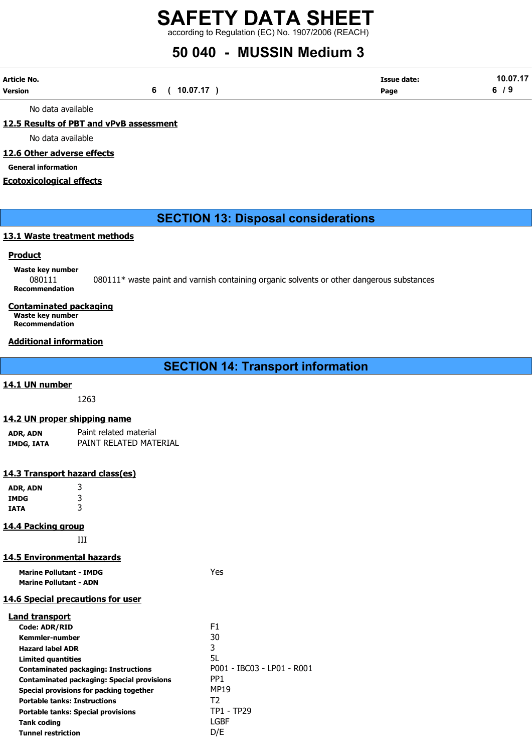according to Regulation (EC) No. 1907/2006 (REACH)

### 50 040 - MUSSIN Medium 3

| Article No. |              | <b>Issue date:</b> | 10.07.17 |
|-------------|--------------|--------------------|----------|
| Version     | 6 ( 10.07.17 | Page               | 6/9<br>. |

No data available

#### 12.5 Results of PBT and vPvB assessment

No data available

#### 12.6 Other adverse effects

General information

#### Ecotoxicological effects

#### SECTION 13: Disposal considerations

#### 13.1 Waste treatment methods

#### **Product**

#### Waste key number

080111 080111\* waste paint and varnish containing organic solvents or other dangerous substances Recommendation

#### Contaminated packaging

Waste key number Recommendation

#### Additional information

|  |  | <b>SECTION 14: Transport information</b> |
|--|--|------------------------------------------|
|--|--|------------------------------------------|

#### 14.1 UN number

1263

#### 14.2 UN proper shipping name

| ADR, ADN   | Paint related material |
|------------|------------------------|
| IMDG, IATA | PAINT RELATED MATERIAL |

#### 14.3 Transport hazard class(es)

| ADR, ADN | 3 |
|----------|---|
| IMDG     | 3 |
| IATA     | 3 |

#### 14.4 Packing group

III

#### 14.5 Environmental hazards

| <b>Marine Pollutant - IMDG</b> | Yes |
|--------------------------------|-----|
| <b>Marine Pollutant - ADN</b>  |     |

#### 14.6 Special precautions for user

| Land transport                                    |                            |
|---------------------------------------------------|----------------------------|
| <b>Code: ADR/RID</b>                              | F1                         |
| Kemmler-number                                    | 30                         |
| <b>Hazard label ADR</b>                           | 3                          |
| <b>Limited quantities</b>                         | 5L                         |
| <b>Contaminated packaging: Instructions</b>       | P001 - IBC03 - LP01 - R001 |
| <b>Contaminated packaging: Special provisions</b> | PP <sub>1</sub>            |
| Special provisions for packing together           | <b>MP19</b>                |
| <b>Portable tanks: Instructions</b>               | T2                         |
| <b>Portable tanks: Special provisions</b>         | <b>TP1 - TP29</b>          |
| <b>Tank coding</b>                                | LGBF                       |
| <b>Tunnel restriction</b>                         | D/E                        |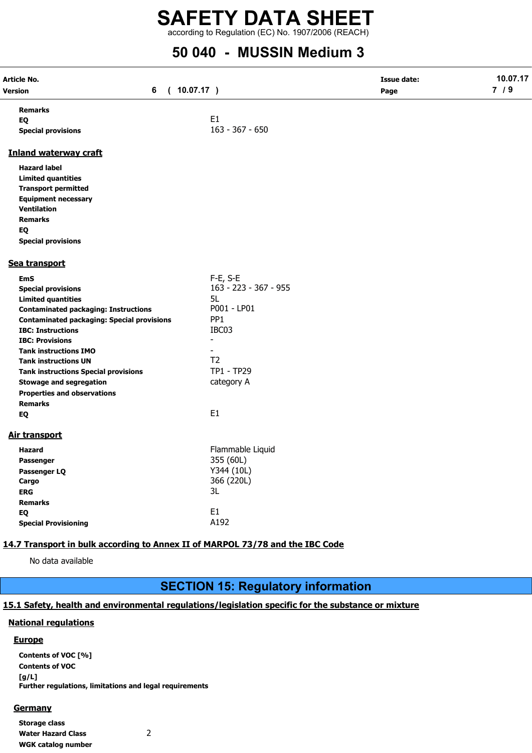according to Regulation (EC) No. 1907/2006 (REACH)

### 50 040 - MUSSIN Medium 3

| Article No.<br>6<br>Version<br>$\left($                                       | 10.07.17)                          | <b>Issue date:</b><br>Page | 10.07.17<br>7/9 |
|-------------------------------------------------------------------------------|------------------------------------|----------------------------|-----------------|
| <b>Remarks</b>                                                                |                                    |                            |                 |
| EQ                                                                            | E1                                 |                            |                 |
| <b>Special provisions</b>                                                     | $163 - 367 - 650$                  |                            |                 |
| <b>Inland waterway craft</b>                                                  |                                    |                            |                 |
| <b>Hazard label</b>                                                           |                                    |                            |                 |
| <b>Limited quantities</b>                                                     |                                    |                            |                 |
| <b>Transport permitted</b>                                                    |                                    |                            |                 |
| <b>Equipment necessary</b>                                                    |                                    |                            |                 |
| <b>Ventilation</b>                                                            |                                    |                            |                 |
| <b>Remarks</b>                                                                |                                    |                            |                 |
| EQ                                                                            |                                    |                            |                 |
| <b>Special provisions</b>                                                     |                                    |                            |                 |
| Sea transport                                                                 |                                    |                            |                 |
| EmS                                                                           | $F-E$ , S-E                        |                            |                 |
| <b>Special provisions</b>                                                     | 163 - 223 - 367 - 955              |                            |                 |
| <b>Limited quantities</b>                                                     | 5L                                 |                            |                 |
| <b>Contaminated packaging: Instructions</b>                                   | P001 - LP01                        |                            |                 |
| <b>Contaminated packaging: Special provisions</b>                             | PP <sub>1</sub>                    |                            |                 |
| <b>IBC: Instructions</b>                                                      | IBC03                              |                            |                 |
| <b>IBC: Provisions</b>                                                        |                                    |                            |                 |
| <b>Tank instructions IMO</b>                                                  |                                    |                            |                 |
| <b>Tank instructions UN</b>                                                   | T <sub>2</sub>                     |                            |                 |
| <b>Tank instructions Special provisions</b>                                   | TP1 - TP29                         |                            |                 |
| <b>Stowage and segregation</b>                                                | category A                         |                            |                 |
| <b>Properties and observations</b>                                            |                                    |                            |                 |
| <b>Remarks</b>                                                                |                                    |                            |                 |
| EQ                                                                            | E1                                 |                            |                 |
|                                                                               |                                    |                            |                 |
| Air transport                                                                 |                                    |                            |                 |
| <b>Hazard</b>                                                                 | Flammable Liquid                   |                            |                 |
| <b>Passenger</b>                                                              | 355 (60L)                          |                            |                 |
| Passenger LQ                                                                  | Y344 (10L)                         |                            |                 |
| Cargo                                                                         | 366 (220L)                         |                            |                 |
| <b>ERG</b>                                                                    | 3L                                 |                            |                 |
| <b>Remarks</b>                                                                |                                    |                            |                 |
| EQ                                                                            | E <sub>1</sub>                     |                            |                 |
| <b>Special Provisioning</b>                                                   | A192                               |                            |                 |
| 14.7 Transport in bulk according to Annex II of MARPOL 73/78 and the IBC Code |                                    |                            |                 |
|                                                                               |                                    |                            |                 |
| No data available                                                             |                                    |                            |                 |
|                                                                               |                                    |                            |                 |
|                                                                               | CECTION 45, Depulatory information |                            |                 |

### SECTION 15: Regulatory information

#### 15.1 Safety, health and environmental regulations/legislation specific for the substance or mixture

#### National regulations

#### **Europe**

Contents of VOC [%] Contents of VOC [g/L] Further regulations, limitations and legal requirements

#### **Germany**

Storage class Water Hazard Class 2 WGK catalog number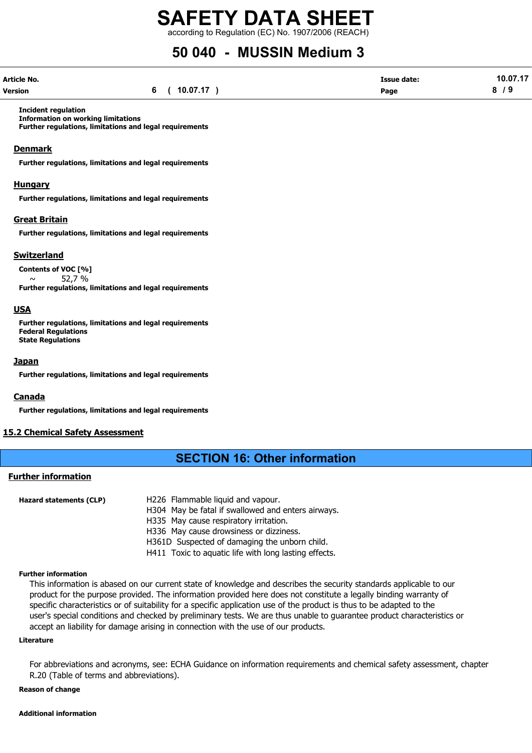according to Regulation (EC) No. 1907/2006 (REACH)

### 50 040 - MUSSIN Medium 3

| Article No. |          | Issue date: | 10.07.17 |
|-------------|----------|-------------|----------|
| Version     | 10.07.17 | Page        | 0        |

Incident regulation

Information on working limitations Further regulations, limitations and legal requirements

#### **Denmark**

Further regulations, limitations and legal requirements

#### Hungary

Further regulations, limitations and legal requirements

#### Great Britain

Further regulations, limitations and legal requirements

#### Switzerland

Contents of VOC [%]

 $\sim$  52.7 % Further regulations, limitations and legal requirements

#### USA

Further regulations, limitations and legal requirements Federal Regulations State Regulations

#### Japan

Further regulations, limitations and legal requirements

#### Canada

Further regulations, limitations and legal requirements

#### 15.2 Chemical Safety Assessment

#### SECTION 16: Other information

#### Further information

| Hazard statements (CLP) | H226 Flammable liquid and vapour.                     |
|-------------------------|-------------------------------------------------------|
|                         | H304 May be fatal if swallowed and enters airways.    |
|                         | H335 May cause respiratory irritation.                |
|                         | H336 May cause drowsiness or dizziness.               |
|                         | H361D Suspected of damaging the unborn child.         |
|                         | H411 Toxic to aquatic life with long lasting effects. |

#### Further information

This information is abased on our current state of knowledge and describes the security standards applicable to our product for the purpose provided. The information provided here does not constitute a legally binding warranty of specific characteristics or of suitability for a specific application use of the product is thus to be adapted to the user's special conditions and checked by preliminary tests. We are thus unable to guarantee product characteristics or accept an liability for damage arising in connection with the use of our products.

#### Literature

For abbreviations and acronyms, see: ECHA Guidance on information requirements and chemical safety assessment, chapter R.20 (Table of terms and abbreviations).

#### Reason of change

#### Additional information